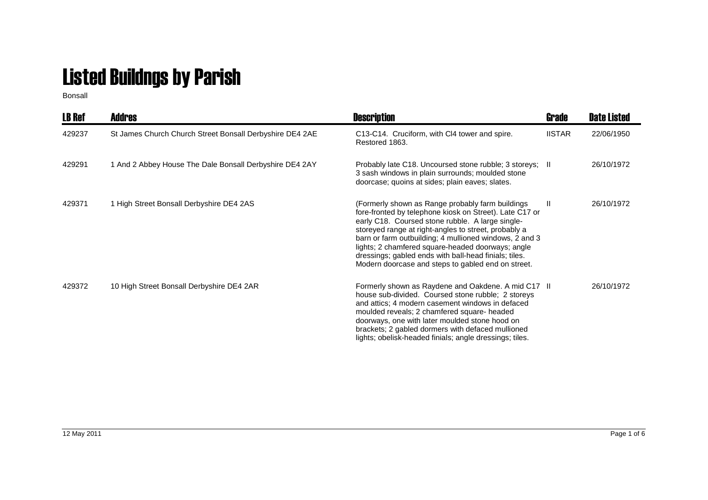## Listed Buildngs by Parish

Bonsall

| <b>LB Ref</b> | <b>Addres</b>                                            | <b>Description</b>                                                                                                                                                                                                                                                                                                                                                                                                                                    | Grade         | <b>Date Listed</b> |
|---------------|----------------------------------------------------------|-------------------------------------------------------------------------------------------------------------------------------------------------------------------------------------------------------------------------------------------------------------------------------------------------------------------------------------------------------------------------------------------------------------------------------------------------------|---------------|--------------------|
| 429237        | St James Church Church Street Bonsall Derbyshire DE4 2AE | C13-C14. Cruciform, with Cl4 tower and spire.<br>Restored 1863.                                                                                                                                                                                                                                                                                                                                                                                       | <b>IISTAR</b> | 22/06/1950         |
| 429291        | 1 And 2 Abbey House The Dale Bonsall Derbyshire DE4 2AY  | Probably late C18. Uncoursed stone rubble; 3 storeys; II<br>3 sash windows in plain surrounds; moulded stone<br>doorcase; quoins at sides; plain eaves; slates.                                                                                                                                                                                                                                                                                       |               | 26/10/1972         |
| 429371        | 1 High Street Bonsall Derbyshire DE4 2AS                 | (Formerly shown as Range probably farm buildings<br>fore-fronted by telephone kiosk on Street). Late C17 or<br>early C18. Coursed stone rubble. A large single-<br>storeyed range at right-angles to street, probably a<br>barn or farm outbuilding; 4 mullioned windows, 2 and 3<br>lights; 2 chamfered square-headed doorways; angle<br>dressings; gabled ends with ball-head finials; tiles.<br>Modern doorcase and steps to gabled end on street. | $\mathbf{I}$  | 26/10/1972         |
| 429372        | 10 High Street Bonsall Derbyshire DE4 2AR                | Formerly shown as Raydene and Oakdene. A mid C17 II<br>house sub-divided. Coursed stone rubble; 2 storeys<br>and attics; 4 modern casement windows in defaced<br>moulded reveals; 2 chamfered square- headed<br>doorways, one with later moulded stone hood on<br>brackets; 2 gabled dormers with defaced mullioned<br>lights; obelisk-headed finials; angle dressings; tiles.                                                                        |               | 26/10/1972         |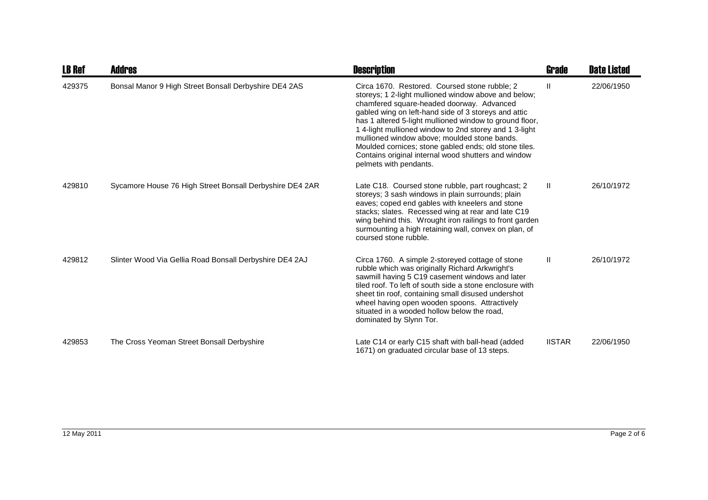| <b>LB Ref</b> | Addres                                                   | <b>Description</b>                                                                                                                                                                                                                                                                                                                                                                                                                                                                                                        | <b>Grade</b>  | <b>Date Listed</b> |
|---------------|----------------------------------------------------------|---------------------------------------------------------------------------------------------------------------------------------------------------------------------------------------------------------------------------------------------------------------------------------------------------------------------------------------------------------------------------------------------------------------------------------------------------------------------------------------------------------------------------|---------------|--------------------|
| 429375        | Bonsal Manor 9 High Street Bonsall Derbyshire DE4 2AS    | Circa 1670. Restored. Coursed stone rubble; 2<br>storeys; 1 2-light mullioned window above and below;<br>chamfered square-headed doorway. Advanced<br>gabled wing on left-hand side of 3 storeys and attic<br>has 1 altered 5-light mullioned window to ground floor,<br>1 4-light mullioned window to 2nd storey and 1 3-light<br>mullioned window above; moulded stone bands.<br>Moulded cornices; stone gabled ends; old stone tiles.<br>Contains original internal wood shutters and window<br>pelmets with pendants. | Ш             | 22/06/1950         |
| 429810        | Sycamore House 76 High Street Bonsall Derbyshire DE4 2AR | Late C18. Coursed stone rubble, part roughcast; 2<br>storeys; 3 sash windows in plain surrounds; plain<br>eaves; coped end gables with kneelers and stone<br>stacks; slates. Recessed wing at rear and late C19<br>wing behind this. Wrought iron railings to front garden<br>surmounting a high retaining wall, convex on plan, of<br>coursed stone rubble.                                                                                                                                                              | H.            | 26/10/1972         |
| 429812        | Slinter Wood Via Gellia Road Bonsall Derbyshire DE4 2AJ  | Circa 1760. A simple 2-storeyed cottage of stone<br>rubble which was originally Richard Arkwright's<br>sawmill having 5 C19 casement windows and later<br>tiled roof. To left of south side a stone enclosure with<br>sheet tin roof, containing small disused undershot<br>wheel having open wooden spoons. Attractively<br>situated in a wooded hollow below the road,<br>dominated by Slynn Tor.                                                                                                                       | Ш             | 26/10/1972         |
| 429853        | The Cross Yeoman Street Bonsall Derbyshire               | Late C14 or early C15 shaft with ball-head (added<br>1671) on graduated circular base of 13 steps.                                                                                                                                                                                                                                                                                                                                                                                                                        | <b>IISTAR</b> | 22/06/1950         |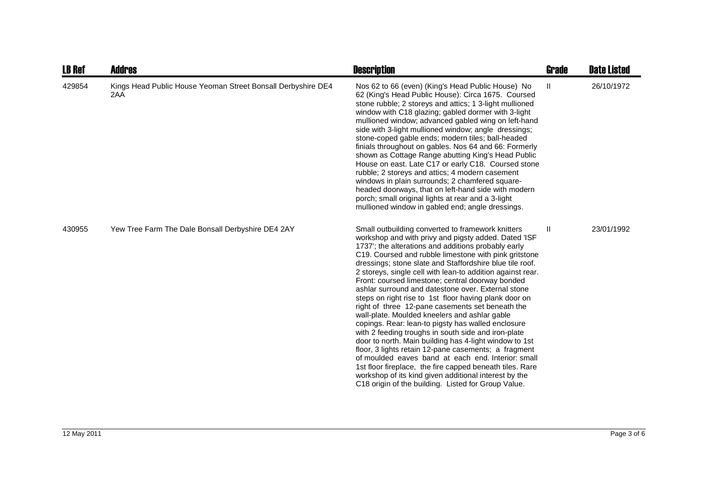| <b>LB Ref</b> | Addres                                                              | <b>Description</b>                                                                                                                                                                                                                                                                                                                                                                                                                                                                                                                                                                                                                                                                                                                                                                                                                                                                                                                                                                                                                                                                           | <b>Grade</b>  | <b>Date Listed</b> |
|---------------|---------------------------------------------------------------------|----------------------------------------------------------------------------------------------------------------------------------------------------------------------------------------------------------------------------------------------------------------------------------------------------------------------------------------------------------------------------------------------------------------------------------------------------------------------------------------------------------------------------------------------------------------------------------------------------------------------------------------------------------------------------------------------------------------------------------------------------------------------------------------------------------------------------------------------------------------------------------------------------------------------------------------------------------------------------------------------------------------------------------------------------------------------------------------------|---------------|--------------------|
| 429854        | Kings Head Public House Yeoman Street Bonsall Derbyshire DE4<br>2AA | Nos 62 to 66 (even) (King's Head Public House) No<br>62 (King's Head Public House): Circa 1675. Coursed<br>stone rubble; 2 storeys and attics; 1 3-light mullioned<br>window with C18 glazing; gabled dormer with 3-light<br>mullioned window; advanced gabled wing on left-hand<br>side with 3-light mullioned window; angle dressings;<br>stone-coped gable ends; modern tiles; ball-headed<br>finials throughout on gables. Nos 64 and 66: Formerly<br>shown as Cottage Range abutting King's Head Public<br>House on east. Late C17 or early C18. Coursed stone<br>rubble; 2 storeys and attics; 4 modern casement<br>windows in plain surrounds; 2 chamfered square-<br>headed doorways, that on left-hand side with modern<br>porch; small original lights at rear and a 3-light<br>mullioned window in gabled end; angle dressings.                                                                                                                                                                                                                                                   | Ш             | 26/10/1972         |
| 430955        | Yew Tree Farm The Dale Bonsall Derbyshire DE4 2AY                   | Small outbuilding converted to framework knitters<br>workshop and with privy and pigsty added. Dated 'ISF<br>1737'; the alterations and additions probably early<br>C19. Coursed and rubble limestone with pink gritstone<br>dressings; stone slate and Staffordshire blue tile roof.<br>2 storeys, single cell with lean-to addition against rear.<br>Front: coursed limestone; central doorway bonded<br>ashlar surround and datestone over. External stone<br>steps on right rise to 1st floor having plank door on<br>right of three 12-pane casements set beneath the<br>wall-plate. Moulded kneelers and ashlar gable<br>copings. Rear: lean-to pigsty has walled enclosure<br>with 2 feeding troughs in south side and iron-plate<br>door to north. Main building has 4-light window to 1st<br>floor, 3 lights retain 12-pane casements; a fragment<br>of moulded eaves band at each end. Interior: small<br>1st floor fireplace, the fire capped beneath tiles. Rare<br>workshop of its kind given additional interest by the<br>C18 origin of the building. Listed for Group Value. | $\mathbf{II}$ | 23/01/1992         |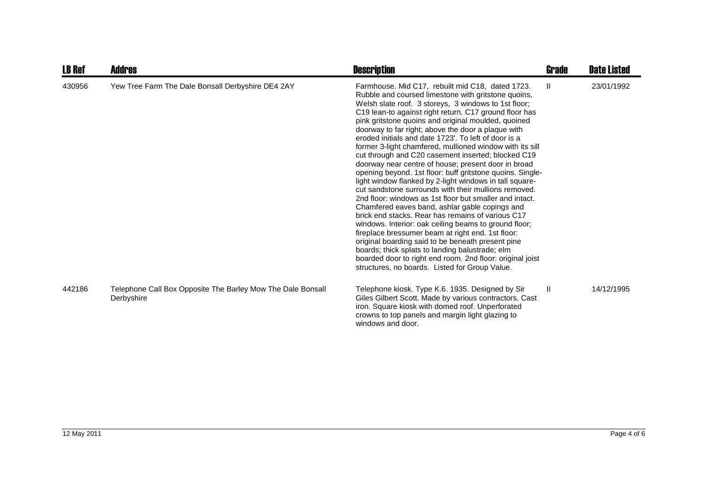| <b>LB Ref</b> | Addres                                                                    | <b>Description</b>                                                                                                                                                                                                                                                                                                                                                                                                                                                                                                                                                                                                                                                                                                                                                                                                                                                                                                                                                                                                                                                                                                                                                                                                                                             | Grade        | <b>Date Listed</b> |
|---------------|---------------------------------------------------------------------------|----------------------------------------------------------------------------------------------------------------------------------------------------------------------------------------------------------------------------------------------------------------------------------------------------------------------------------------------------------------------------------------------------------------------------------------------------------------------------------------------------------------------------------------------------------------------------------------------------------------------------------------------------------------------------------------------------------------------------------------------------------------------------------------------------------------------------------------------------------------------------------------------------------------------------------------------------------------------------------------------------------------------------------------------------------------------------------------------------------------------------------------------------------------------------------------------------------------------------------------------------------------|--------------|--------------------|
| 430956        | Yew Tree Farm The Dale Bonsall Derbyshire DE4 2AY                         | Farmhouse. Mid C17, rebuilt mid C18, dated 1723.<br>Rubble and coursed limestone with gritstone quoins,<br>Welsh slate roof. 3 storeys, 3 windows to 1st floor;<br>C19 lean-to against right return. C17 ground floor has<br>pink gritstone quoins and original moulded, quoined<br>doorway to far right; above the door a plaque with<br>eroded initials and date 1723'. To left of door is a<br>former 3-light chamfered, mullioned window with its sill<br>cut through and C20 casement inserted; blocked C19<br>doorway near centre of house; present door in broad<br>opening beyond. 1st floor: buff gritstone quoins. Single-<br>light window flanked by 2-light windows in tall square-<br>cut sandstone surrounds with their mullions removed.<br>2nd floor: windows as 1st floor but smaller and intact.<br>Chamfered eaves band, ashlar gable copings and<br>brick end stacks. Rear has remains of various C17<br>windows. Interior: oak ceiling beams to ground floor;<br>fireplace bressumer beam at right end. 1st floor:<br>original boarding said to be beneath present pine<br>boards; thick splats to landing balustrade; elm<br>boarded door to right end room. 2nd floor: original joist<br>structures, no boards. Listed for Group Value. | $\mathbf{H}$ | 23/01/1992         |
| 442186        | Telephone Call Box Opposite The Barley Mow The Dale Bonsall<br>Derbyshire | Telephone kiosk. Type K.6. 1935. Designed by Sir<br>Giles Gilbert Scott. Made by various contractors. Cast<br>iron. Square kiosk with domed roof. Unperforated<br>crowns to top panels and margin light glazing to<br>windows and door.                                                                                                                                                                                                                                                                                                                                                                                                                                                                                                                                                                                                                                                                                                                                                                                                                                                                                                                                                                                                                        | H.           | 14/12/1995         |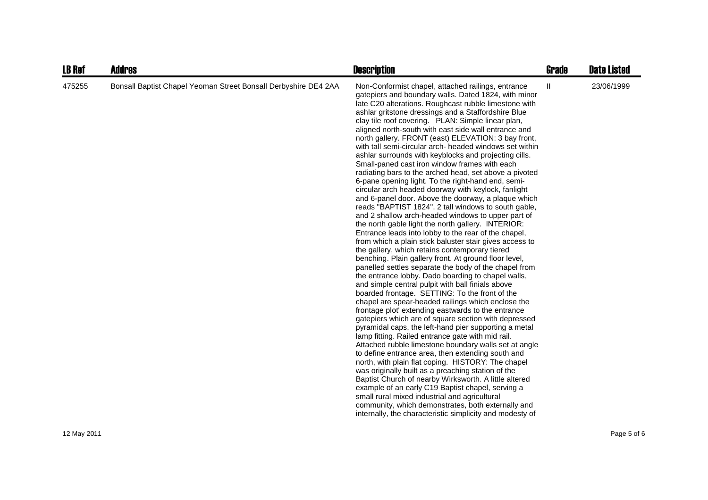| <b>LB Ref</b> | <b>Addres</b>                                                   | <b>Description</b>                                                                                                                                                                                                                                                                                                                                                                                                                                                                                                                                                                                                                                                                                                                                                                                                                                                                                                                                                                                                                                                                                                                                                                                                                                                                                                                                                                                                                                                                                                                                                                                                                                                                                                                                                                                                                                                                                                                                                                                                                                                                                                                                                                                                      | <b>Grade</b> | <b>Date Listed</b> |
|---------------|-----------------------------------------------------------------|-------------------------------------------------------------------------------------------------------------------------------------------------------------------------------------------------------------------------------------------------------------------------------------------------------------------------------------------------------------------------------------------------------------------------------------------------------------------------------------------------------------------------------------------------------------------------------------------------------------------------------------------------------------------------------------------------------------------------------------------------------------------------------------------------------------------------------------------------------------------------------------------------------------------------------------------------------------------------------------------------------------------------------------------------------------------------------------------------------------------------------------------------------------------------------------------------------------------------------------------------------------------------------------------------------------------------------------------------------------------------------------------------------------------------------------------------------------------------------------------------------------------------------------------------------------------------------------------------------------------------------------------------------------------------------------------------------------------------------------------------------------------------------------------------------------------------------------------------------------------------------------------------------------------------------------------------------------------------------------------------------------------------------------------------------------------------------------------------------------------------------------------------------------------------------------------------------------------------|--------------|--------------------|
| 475255        | Bonsall Baptist Chapel Yeoman Street Bonsall Derbyshire DE4 2AA | Non-Conformist chapel, attached railings, entrance<br>gatepiers and boundary walls. Dated 1824, with minor<br>late C20 alterations. Roughcast rubble limestone with<br>ashlar gritstone dressings and a Staffordshire Blue<br>clay tile roof covering. PLAN: Simple linear plan,<br>aligned north-south with east side wall entrance and<br>north gallery. FRONT (east) ELEVATION: 3 bay front,<br>with tall semi-circular arch- headed windows set within<br>ashlar surrounds with keyblocks and projecting cills.<br>Small-paned cast iron window frames with each<br>radiating bars to the arched head, set above a pivoted<br>6-pane opening light. To the right-hand end, semi-<br>circular arch headed doorway with keylock, fanlight<br>and 6-panel door. Above the doorway, a plaque which<br>reads "BAPTIST 1824". 2 tall windows to south gable,<br>and 2 shallow arch-headed windows to upper part of<br>the north gable light the north gallery. INTERIOR:<br>Entrance leads into lobby to the rear of the chapel,<br>from which a plain stick baluster stair gives access to<br>the gallery, which retains contemporary tiered<br>benching. Plain gallery front. At ground floor level,<br>panelled settles separate the body of the chapel from<br>the entrance lobby. Dado boarding to chapel walls,<br>and simple central pulpit with ball finials above<br>boarded frontage. SETTING: To the front of the<br>chapel are spear-headed railings which enclose the<br>frontage plot' extending eastwards to the entrance<br>gatepiers which are of square section with depressed<br>pyramidal caps, the left-hand pier supporting a metal<br>lamp fitting. Railed entrance gate with mid rail.<br>Attached rubble limestone boundary walls set at angle<br>to define entrance area, then extending south and<br>north, with plain flat coping. HISTORY: The chapel<br>was originally built as a preaching station of the<br>Baptist Church of nearby Wirksworth. A little altered<br>example of an early C19 Baptist chapel, serving a<br>small rural mixed industrial and agricultural<br>community, which demonstrates, both externally and<br>internally, the characteristic simplicity and modesty of | Ш            | 23/06/1999         |